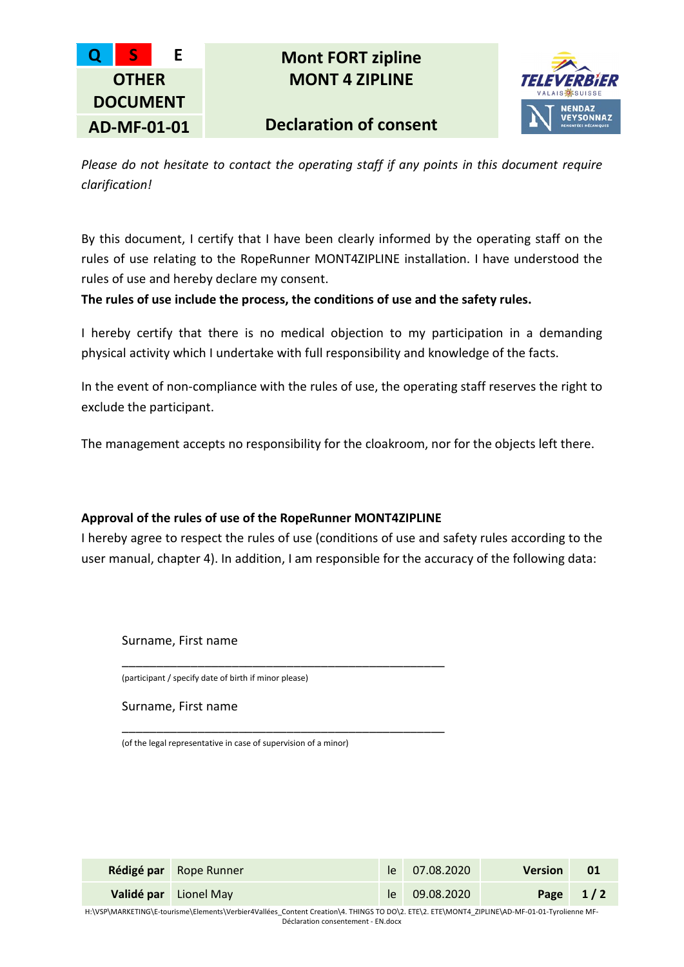

**Q S E Mont FORT zipline MONT 4 ZIPLINE**

**Declaration of consent**



*Please do not hesitate to contact the operating staff if any points in this document require clarification!*

By this document, I certify that I have been clearly informed by the operating staff on the rules of use relating to the RopeRunner MONT4ZIPLINE installation. I have understood the rules of use and hereby declare my consent.

**The rules of use include the process, the conditions of use and the safety rules.**

I hereby certify that there is no medical objection to my participation in a demanding physical activity which I undertake with full responsibility and knowledge of the facts.

In the event of non-compliance with the rules of use, the operating staff reserves the right to exclude the participant.

The management accepts no responsibility for the cloakroom, nor for the objects left there.

## **Approval of the rules of use of the RopeRunner MONT4ZIPLINE**

\_\_\_\_\_\_\_\_\_\_\_\_\_\_\_\_\_\_\_\_\_\_\_\_\_\_\_\_\_\_\_\_\_\_\_\_\_\_\_\_\_\_\_\_\_\_\_

\_\_\_\_\_\_\_\_\_\_\_\_\_\_\_\_\_\_\_\_\_\_\_\_\_\_\_\_\_\_\_\_\_\_\_\_\_\_\_\_\_\_\_\_\_\_\_

I hereby agree to respect the rules of use (conditions of use and safety rules according to the user manual, chapter 4). In addition, I am responsible for the accuracy of the following data:

Surname, First name

(participant / specify date of birth if minor please)

Surname, First name

(of the legal representative in case of supervision of a minor)

|                                                                                                                                       | <b>Rédigé par</b> Rope Runner |  | le 07.08.2020 | <b>Version</b> | 01         |
|---------------------------------------------------------------------------------------------------------------------------------------|-------------------------------|--|---------------|----------------|------------|
|                                                                                                                                       | Validé par Lionel May         |  | le 09.08.2020 |                | Page $1/2$ |
| UJUCD\MADKETINC\E tourisma\Elamante\Varbiar4Valláes Content Creation\4 TUNCS TO DO\3 ETE\3 ETE\MONT4 ZIDUNE\AD ME 01.01 Turalianna ME |                               |  |               |                |            |

H:\VSP\MARKETING\E-tourisme\Elements\Verbier4Vallées\_Content Creation\4. THINGS TO DO\2. ETE\2. ETE\MONT4\_ZIPLINE\AD-MF-01-01-Tyrolienne MF-Déclaration consentement - EN.docx